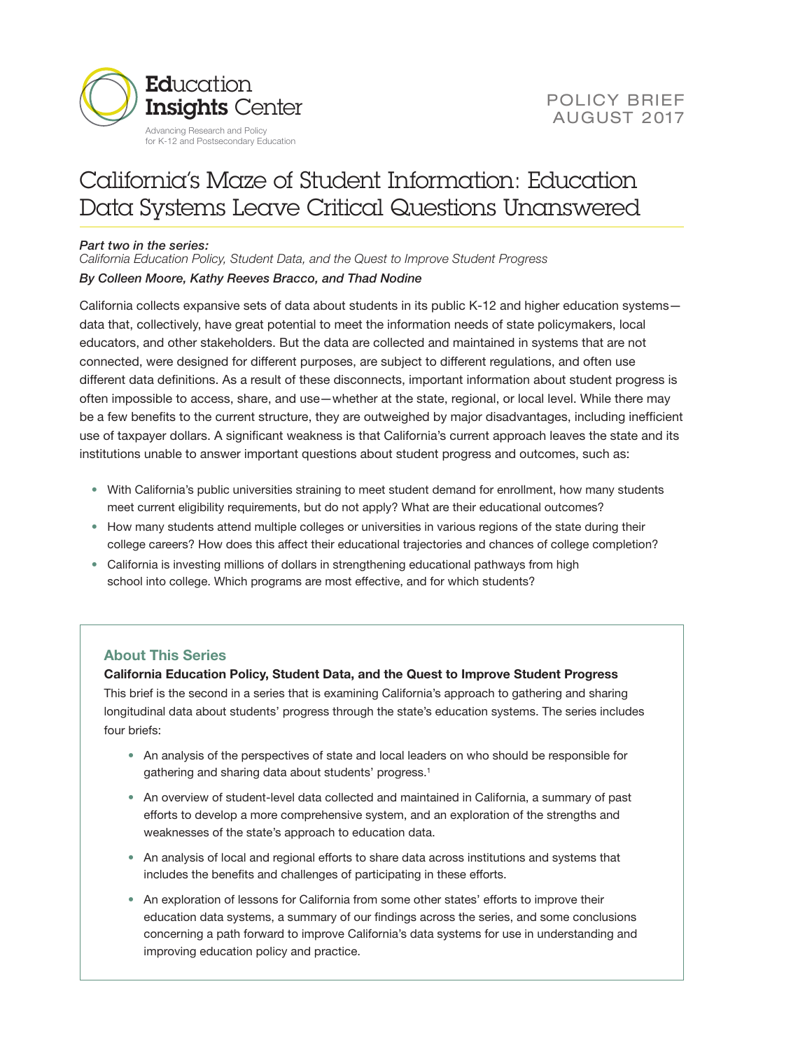

# California's Maze of Student Information: Education Data Systems Leave Critical Questions Unanswered

#### *Part two in the series:*

*By Colleen Moore, Kathy Reeves Bracco, and Thad Nodine California Education Policy, Student Data, and the Quest to Improve Student Progress*

California collects expansive sets of data about students in its public K-12 and higher education systems data that, collectively, have great potential to meet the information needs of state policymakers, local educators, and other stakeholders. But the data are collected and maintained in systems that are not connected, were designed for different purposes, are subject to different regulations, and often use different data definitions. As a result of these disconnects, important information about student progress is often impossible to access, share, and use—whether at the state, regional, or local level. While there may be a few benefits to the current structure, they are outweighed by major disadvantages, including inefficient use of taxpayer dollars. A significant weakness is that California's current approach leaves the state and its institutions unable to answer important questions about student progress and outcomes, such as:

- With California's public universities straining to meet student demand for enrollment, how many students meet current eligibility requirements, but do not apply? What are their educational outcomes?
- How many students attend multiple colleges or universities in various regions of the state during their college careers? How does this affect their educational trajectories and chances of college completion?
- California is investing millions of dollars in strengthening educational pathways from high school into college. Which programs are most effective, and for which students?

# **About This Series**

## **California Education Policy, Student Data, and the Quest to Improve Student Progress**

This brief is the second in a series that is examining California's approach to gathering and sharing longitudinal data about students' progress through the state's education systems. The series includes four briefs:

- An analysis of the perspectives of state and local leaders on who should be responsible for gathering and sharing data about students' progress.<sup>1</sup>
- An overview of student-level data collected and maintained in California, a summary of past efforts to develop a more comprehensive system, and an exploration of the strengths and weaknesses of the state's approach to education data.
- An analysis of local and regional efforts to share data across institutions and systems that includes the benefits and challenges of participating in these efforts.
- An exploration of lessons for California from some other states' efforts to improve their education data systems, a summary of our findings across the series, and some conclusions concerning a path forward to improve California's data systems for use in understanding and improving education policy and practice.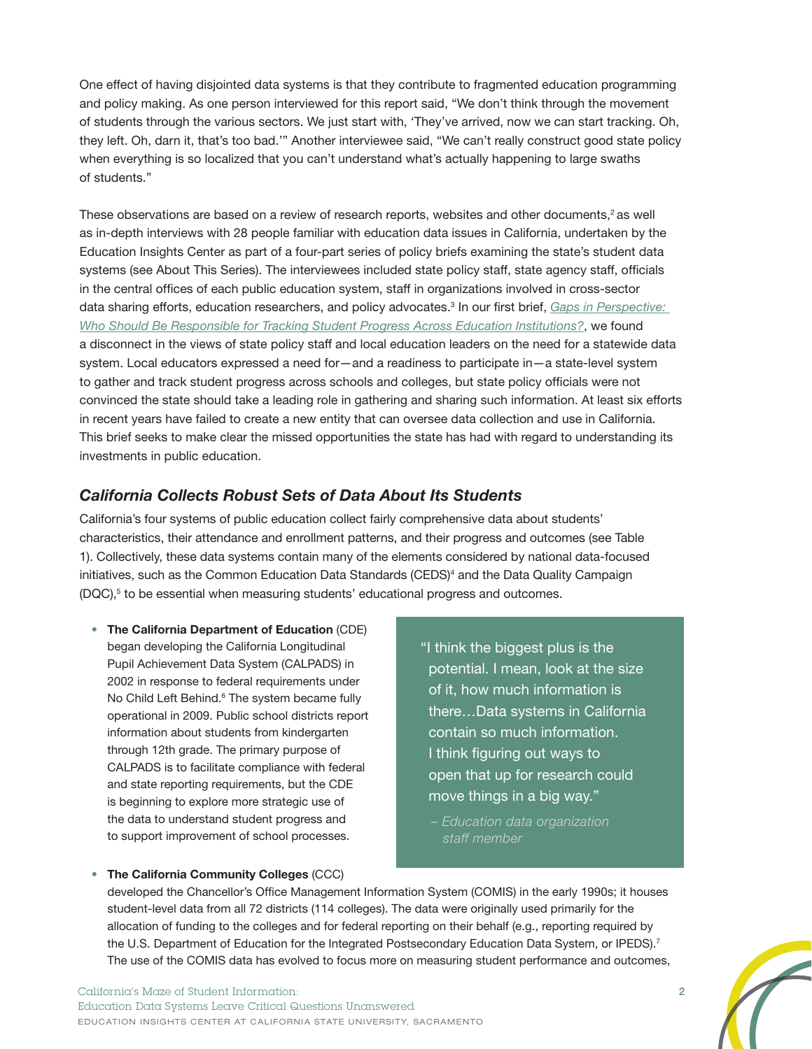One effect of having disjointed data systems is that they contribute to fragmented education programming and policy making. As one person interviewed for this report said, "We don't think through the movement of students through the various sectors. We just start with, 'They've arrived, now we can start tracking. Oh, they left. Oh, darn it, that's too bad.'" Another interviewee said, "We can't really construct good state policy when everything is so localized that you can't understand what's actually happening to large swaths of students."

These observations are based on a review of research reports, websites and other documents, $2$  as well as in-depth interviews with 28 people familiar with education data issues in California, undertaken by the Education Insights Center as part of a four-part series of policy briefs examining the state's student data systems (see About This Series). The interviewees included state policy staff, state agency staff, officials in the central offices of each public education system, staff in organizations involved in cross-sector data sharing efforts, education researchers, and policy advocates.[3](#page-15-2) In our first brief, *[Gaps in Perspective:](http://edinsightscenter.org/Publications/ctl/ArticleView/mid/421/articleId/2182/Gaps-in-Perspective-Who-Should-Be-Responsible-for-Tracking-Student-Progress-Across-Education-Institutions)  [Who Should Be Responsible for Tracking Student Progress Across Education Institutions?](http://edinsightscenter.org/Publications/ctl/ArticleView/mid/421/articleId/2182/Gaps-in-Perspective-Who-Should-Be-Responsible-for-Tracking-Student-Progress-Across-Education-Institutions)*, we found a disconnect in the views of state policy staff and local education leaders on the need for a statewide data system. Local educators expressed a need for—and a readiness to participate in—a state-level system to gather and track student progress across schools and colleges, but state policy officials were not convinced the state should take a leading role in gathering and sharing such information. At least six efforts in recent years have failed to create a new entity that can oversee data collection and use in California. This brief seeks to make clear the missed opportunities the state has had with regard to understanding its investments in public education.

# *California Collects Robust Sets of Data About Its Students*

California's four systems of public education collect fairly comprehensive data about students' characteristics, their attendance and enrollment patterns, and their progress and outcomes (see Table 1). Collectively, these data systems contain many of the elements considered by national data-focused initiatives, such as the Common Education Data Standards (CEDS)<sup>[4](#page-15-3)</sup> and the Data Quality Campaign  $(DQC)$ , to be essential when measuring students' educational progress and outcomes.

**• The California Department of Education** (CDE) began developing the California Longitudinal Pupil Achievement Data System (CALPADS) in 2002 in response to federal requirements under No Child Left Behind.<sup>6</sup> The system became fully operational in 2009. Public school districts report information about students from kindergarten through 12th grade. The primary purpose of CALPADS is to facilitate compliance with federal and state reporting requirements, but the CDE is beginning to explore more strategic use of the data to understand student progress and to support improvement of school processes.

**• The California Community Colleges** (CCC)

- "I think the biggest plus is the potential. I mean, look at the size of it, how much information is there…Data systems in California contain so much information. I think figuring out ways to open that up for research could move things in a big way."
- *Education data organization staff member*

developed the Chancellor's Office Management Information System (COMIS) in the early 1990s; it houses student-level data from all 72 districts (114 colleges). The data were originally used primarily for the allocation of funding to the colleges and for federal reporting on their behalf (e.g., reporting required by the U.S. Department of Education for the Integrated Postsecondary Education Data System, or IPEDS).<sup>7</sup> The use of the COMIS data has evolved to focus more on measuring student performance and outcomes,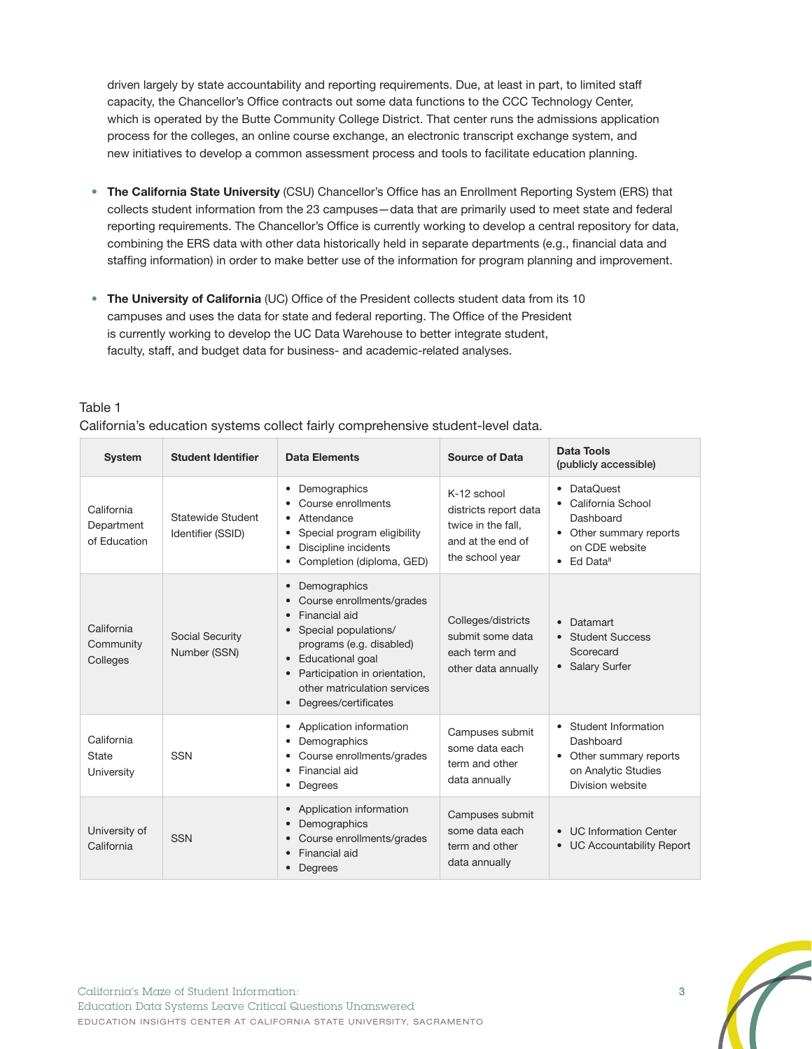driven largely by state accountability and reporting requirements. Due, at least in part, to limited staff capacity, the Chancellor's Office contracts out some data functions to the CCC Technology Center, which is operated by the Butte Community College District. That center runs the admissions application process for the colleges, an online course exchange, an electronic transcript exchange system, and new initiatives to develop a common assessment process and tools to facilitate education planning.

- **• The California State University** (CSU) Chancellor's Office has an Enrollment Reporting System (ERS) that collects student information from the 23 campuses—data that are primarily used to meet state and federal reporting requirements. The Chancellor's Office is currently working to develop a central repository for data, combining the ERS data with other data historically held in separate departments (e.g., financial data and staffing information) in order to make better use of the information for program planning and improvement.
- **• The University of California** (UC) Office of the President collects student data from its 10 campuses and uses the data for state and federal reporting. The Office of the President is currently working to develop the UC Data Warehouse to better integrate student, faculty, staff, and budget data for business- and academic-related analyses.

| ×<br>۰,<br>×<br>۰,<br>1. 1 |  |  |  |  |
|----------------------------|--|--|--|--|
|----------------------------|--|--|--|--|

| <b>System</b>                            | <b>Student Identifier</b>              | <b>Data Elements</b>                                                                                                                                                                                                                                                                           | <b>Source of Data</b>                                                                              | <b>Data Tools</b><br>(publicly accessible)                                                                                              |
|------------------------------------------|----------------------------------------|------------------------------------------------------------------------------------------------------------------------------------------------------------------------------------------------------------------------------------------------------------------------------------------------|----------------------------------------------------------------------------------------------------|-----------------------------------------------------------------------------------------------------------------------------------------|
| California<br>Department<br>of Education | Statewide Student<br>Identifier (SSID) | Demographics<br>٠<br>Course enrollments<br>Attendance<br>٠<br>Special program eligibility<br>٠<br>Discipline incidents<br>$\bullet$<br>Completion (diploma, GED)<br>٠                                                                                                                          | K-12 school<br>districts report data<br>twice in the fall.<br>and at the end of<br>the school year | DataQuest<br>$\bullet$<br>California School<br>Dashboard<br>• Other summary reports<br>on CDF website<br>$\bullet$ Ed Data <sup>8</sup> |
| California<br>Community<br>Colleges      | <b>Social Security</b><br>Number (SSN) | Demographics<br>$\bullet$<br>Course enrollments/grades<br>Financial aid<br>$\bullet$<br>• Special populations/<br>programs (e.g. disabled)<br>Educational goal<br>$\bullet$<br>Participation in orientation,<br>$\bullet$<br>other matriculation services<br>Degrees/certificates<br>$\bullet$ | Colleges/districts<br>submit some data<br>each term and<br>other data annually                     | Datamart<br>• Student Success<br>Scorecard<br>• Salary Surfer                                                                           |
| California<br>State<br>University        | <b>SSN</b>                             | Application information<br>٠<br>Demographics<br>٠<br>Course enrollments/grades<br>٠<br>Financial aid<br>٠<br>Degrees<br>٠                                                                                                                                                                      | Campuses submit<br>some data each<br>term and other<br>data annually                               | Student Information<br>Dashboard<br>Other summary reports<br>$\bullet$<br>on Analytic Studies<br>Division website                       |
| University of<br>California              | <b>SSN</b>                             | Application information<br>$\bullet$<br>Demographics<br>$\bullet$<br>Course enrollments/grades<br>٠<br>Financial aid<br>Degrees                                                                                                                                                                | Campuses submit<br>some data each<br>term and other<br>data annually                               | <b>UC</b> Information Center<br>$\bullet$<br>• UC Accountability Report                                                                 |

California's education systems collect fairly comprehensive student-level data.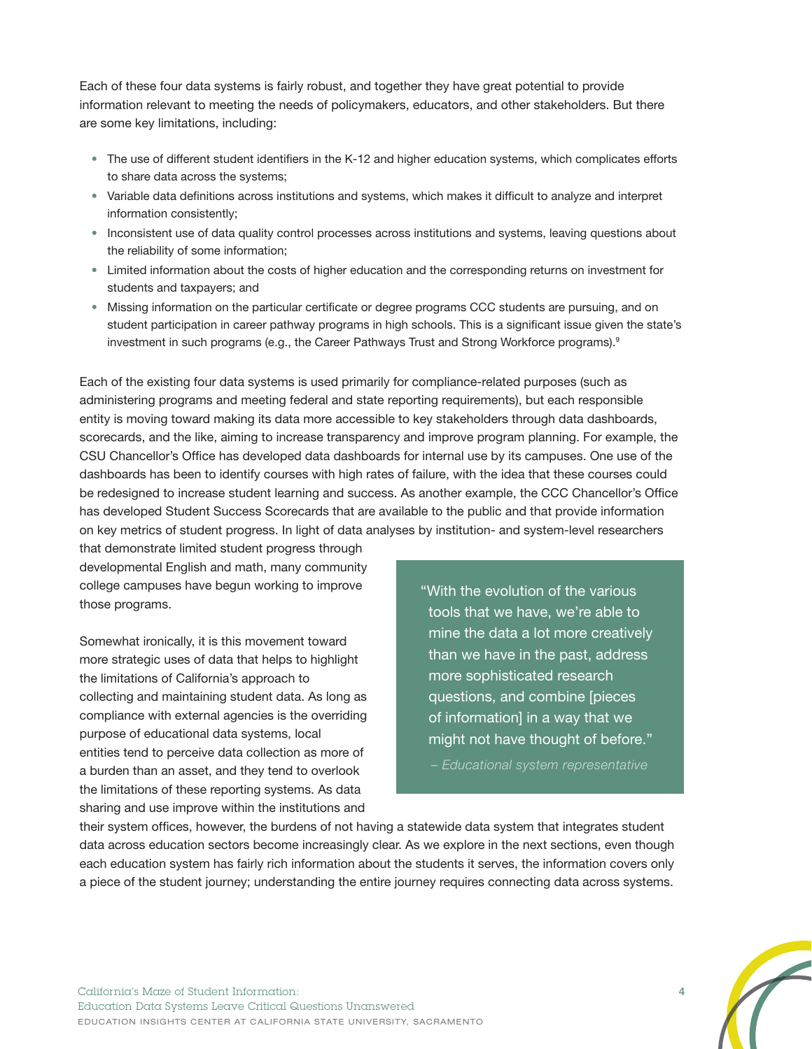Each of these four data systems is fairly robust, and together they have great potential to provide information relevant to meeting the needs of policymakers, educators, and other stakeholders. But there are some key limitations, including:

- The use of different student identifiers in the K-12 and higher education systems, which complicates efforts to share data across the systems;
- Variable data definitions across institutions and systems, which makes it difficult to analyze and interpret information consistently;
- Inconsistent use of data quality control processes across institutions and systems, leaving questions about the reliability of some information;
- Limited information about the costs of higher education and the corresponding returns on investment for students and taxpayers; and
- Missing information on the particular certificate or degree programs CCC students are pursuing, and on student participation in career pathway programs in high schools. This is a significant issue given the state's investment in such programs (e.g., the Career Pathways Trust and Strong Workforce programs).<sup>9</sup>

Each of the existing four data systems is used primarily for compliance-related purposes (such as administering programs and meeting federal and state reporting requirements), but each responsible entity is moving toward making its data more accessible to key stakeholders through data dashboards, scorecards, and the like, aiming to increase transparency and improve program planning. For example, the CSU Chancellor's Office has developed data dashboards for internal use by its campuses. One use of the dashboards has been to identify courses with high rates of failure, with the idea that these courses could be redesigned to increase student learning and success. As another example, the CCC Chancellor's Office has developed Student Success Scorecards that are available to the public and that provide information on key metrics of student progress. In light of data analyses by institution- and system-level researchers

that demonstrate limited student progress through developmental English and math, many community college campuses have begun working to improve those programs.

Somewhat ironically, it is this movement toward more strategic uses of data that helps to highlight the limitations of California's approach to collecting and maintaining student data. As long as compliance with external agencies is the overriding purpose of educational data systems, local entities tend to perceive data collection as more of a burden than an asset, and they tend to overlook the limitations of these reporting systems. As data sharing and use improve within the institutions and

"With the evolution of the various tools that we have, we're able to mine the data a lot more creatively than we have in the past, address more sophisticated research questions, and combine [pieces of information] in a way that we might not have thought of before."

*– Educational system representative*

their system offices, however, the burdens of not having a statewide data system that integrates student data across education sectors become increasingly clear. As we explore in the next sections, even though each education system has fairly rich information about the students it serves, the information covers only a piece of the student journey; understanding the entire journey requires connecting data across systems.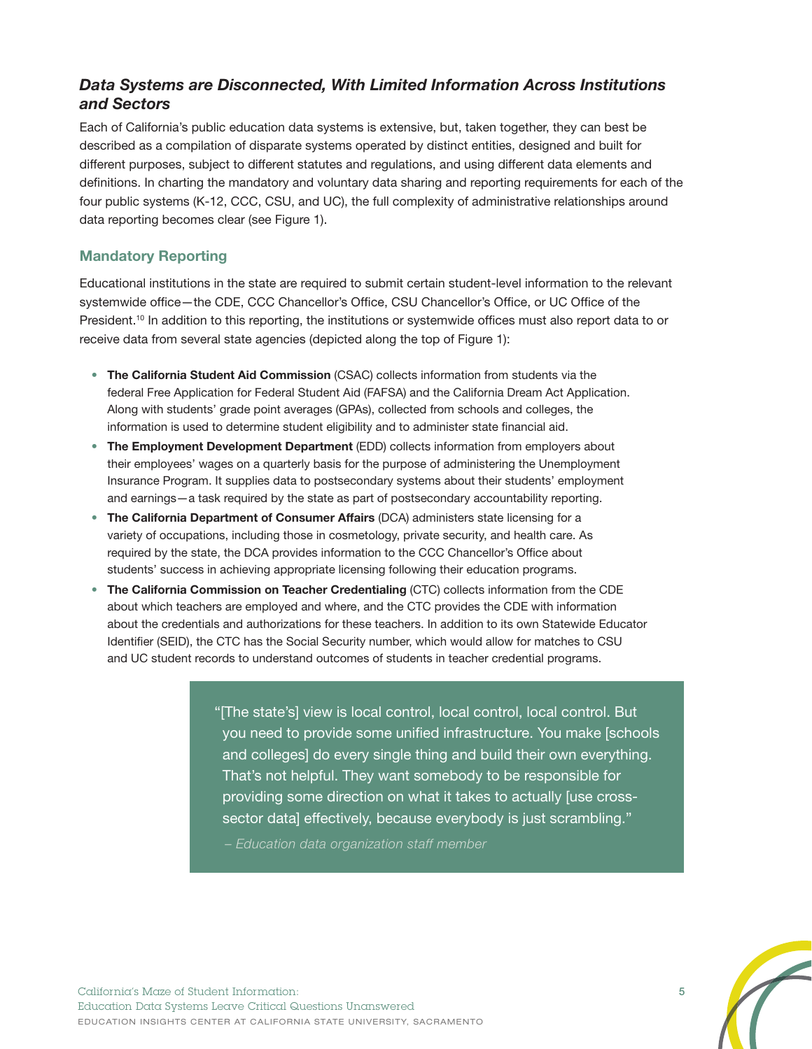# *Data Systems are Disconnected, With Limited Information Across Institutions and Sectors*

Each of California's public education data systems is extensive, but, taken together, they can best be described as a compilation of disparate systems operated by distinct entities, designed and built for different purposes, subject to different statutes and regulations, and using different data elements and definitions. In charting the mandatory and voluntary data sharing and reporting requirements for each of the four public systems (K-12, CCC, CSU, and UC), the full complexity of administrative relationships around data reporting becomes clear (see Figure 1).

## **Mandatory Reporting**

Educational institutions in the state are required to submit certain student-level information to the relevant systemwide office—the CDE, CCC Chancellor's Office, CSU Chancellor's Office, or UC Office of the President.<sup>10</sup> In addition to this reporting, the institutions or systemwide offices must also report data to or receive data from several state agencies (depicted along the top of Figure 1):

- **• The California Student Aid Commission** (CSAC) collects information from students via the federal Free Application for Federal Student Aid (FAFSA) and the California Dream Act Application. Along with students' grade point averages (GPAs), collected from schools and colleges, the information is used to determine student eligibility and to administer state financial aid.
- **• The Employment Development Department** (EDD) collects information from employers about their employees' wages on a quarterly basis for the purpose of administering the Unemployment Insurance Program. It supplies data to postsecondary systems about their students' employment and earnings—a task required by the state as part of postsecondary accountability reporting.
- **• The California Department of Consumer Affairs** (DCA) administers state licensing for a variety of occupations, including those in cosmetology, private security, and health care. As required by the state, the DCA provides information to the CCC Chancellor's Office about students' success in achieving appropriate licensing following their education programs.
- **• The California Commission on Teacher Credentialing** (CTC) collects information from the CDE about which teachers are employed and where, and the CTC provides the CDE with information about the credentials and authorizations for these teachers. In addition to its own Statewide Educator Identifier (SEID), the CTC has the Social Security number, which would allow for matches to CSU and UC student records to understand outcomes of students in teacher credential programs.

"[The state's] view is local control, local control, local control. But you need to provide some unified infrastructure. You make [schools and colleges] do every single thing and build their own everything. That's not helpful. They want somebody to be responsible for providing some direction on what it takes to actually [use crosssector data] effectively, because everybody is just scrambling."

*– Education data organization staff member*

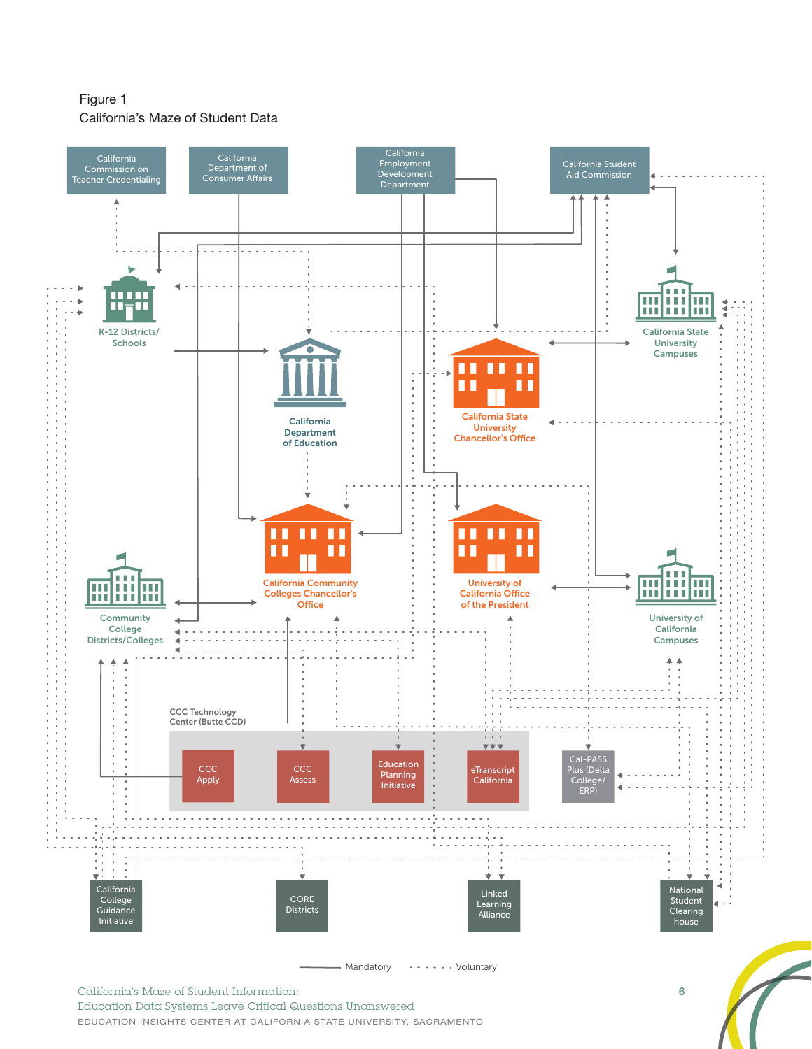Figure 1 California's Maze of Student Data



California's Maze of Student Information: 6

Education Data Systems Leave Critical Questions Unanswered

EDUCATION INSIGHTS CENTER AT CALIFORNIA STATE UNIVERSITY, SACRAMENTO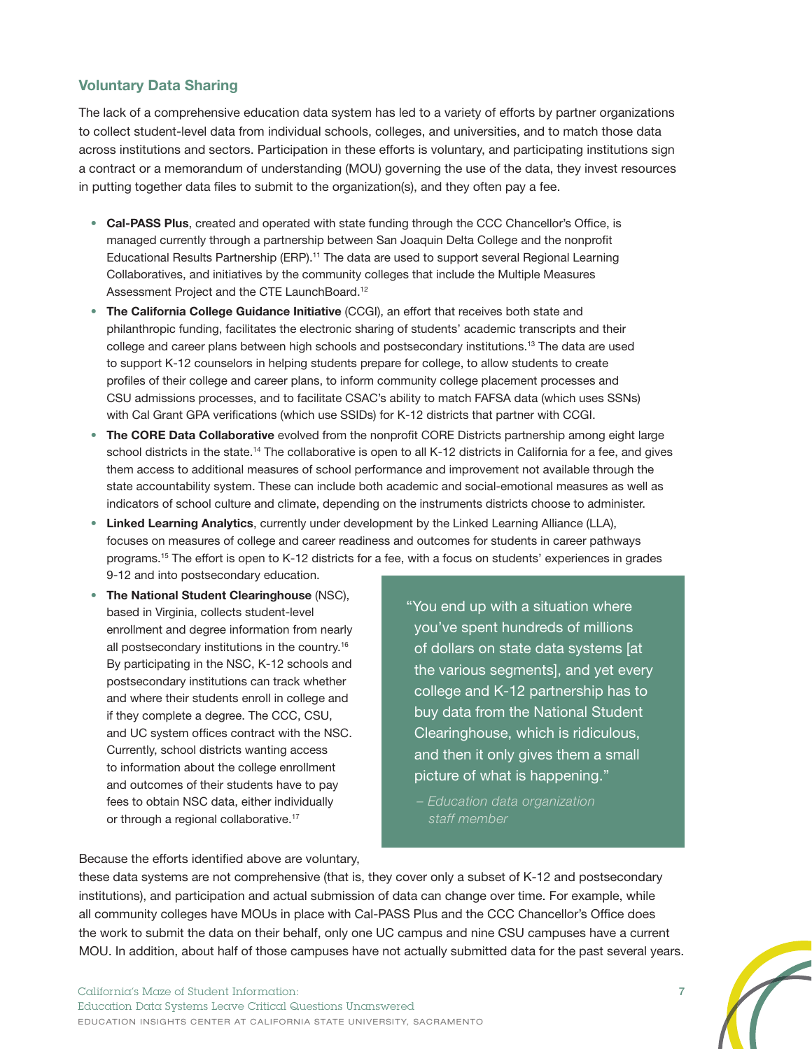## **Voluntary Data Sharing**

The lack of a comprehensive education data system has led to a variety of efforts by partner organizations to collect student-level data from individual schools, colleges, and universities, and to match those data across institutions and sectors. Participation in these efforts is voluntary, and participating institutions sign a contract or a memorandum of understanding (MOU) governing the use of the data, they invest resources in putting together data files to submit to the organization(s), and they often pay a fee.

- **• Cal-PASS Plus**, created and operated with state funding through the CCC Chancellor's Office, is managed currently through a partnership between San Joaquin Delta College and the nonprofit Educational Results Partnership (ERP).<sup>11</sup> The data are used to support several Regional Learning Collaboratives, and initiatives by the community colleges that include the Multiple Measures Assessment Project and the CTE LaunchBoard.<sup>[12](#page-15-11)</sup>
- **• The California College Guidance Initiative** (CCGI), an effort that receives both state and philanthropic funding, facilitates the electronic sharing of students' academic transcripts and their college and career plans between high schools and postsecondary institutions.[13](#page-15-12) The data are used to support K-12 counselors in helping students prepare for college, to allow students to create profiles of their college and career plans, to inform community college placement processes and CSU admissions processes, and to facilitate CSAC's ability to match FAFSA data (which uses SSNs) with Cal Grant GPA verifications (which use SSIDs) for K-12 districts that partner with CCGI.
- **• The CORE Data Collaborative** evolved from the nonprofit CORE Districts partnership among eight large school districts in the state.<sup>14</sup> The collaborative is open to all K-12 districts in California for a fee, and gives them access to additional measures of school performance and improvement not available through the state accountability system. These can include both academic and social-emotional measures as well as indicators of school culture and climate, depending on the instruments districts choose to administer.
- **• Linked Learning Analytics**, currently under development by the Linked Learning Alliance (LLA), focuses on measures of college and career readiness and outcomes for students in career pathways programs[.15](#page-15-14) The effort is open to K-12 districts for a fee, with a focus on students' experiences in grades 9-12 and into postsecondary education.
- **• The National Student Clearinghouse** (NSC), based in Virginia, collects student-level enrollment and degree information from nearly all postsecondary institutions in the country[.16](#page-15-15) By participating in the NSC, K-12 schools and postsecondary institutions can track whether and where their students enroll in college and if they complete a degree. The CCC, CSU, and UC system offices contract with the NSC. Currently, school districts wanting access to information about the college enrollment and outcomes of their students have to pay fees to obtain NSC data, either individually or through a regional collaborative[.17](#page-15-16)

"You end up with a situation where you've spent hundreds of millions of dollars on state data systems [at the various segments], and yet every college and K-12 partnership has to buy data from the National Student Clearinghouse, which is ridiculous, and then it only gives them a small picture of what is happening."

*– Education data organization staff member*

Because the efforts identified above are voluntary,

these data systems are not comprehensive (that is, they cover only a subset of K-12 and postsecondary institutions), and participation and actual submission of data can change over time. For example, while all community colleges have MOUs in place with Cal-PASS Plus and the CCC Chancellor's Office does the work to submit the data on their behalf, only one UC campus and nine CSU campuses have a current MOU. In addition, about half of those campuses have not actually submitted data for the past several years.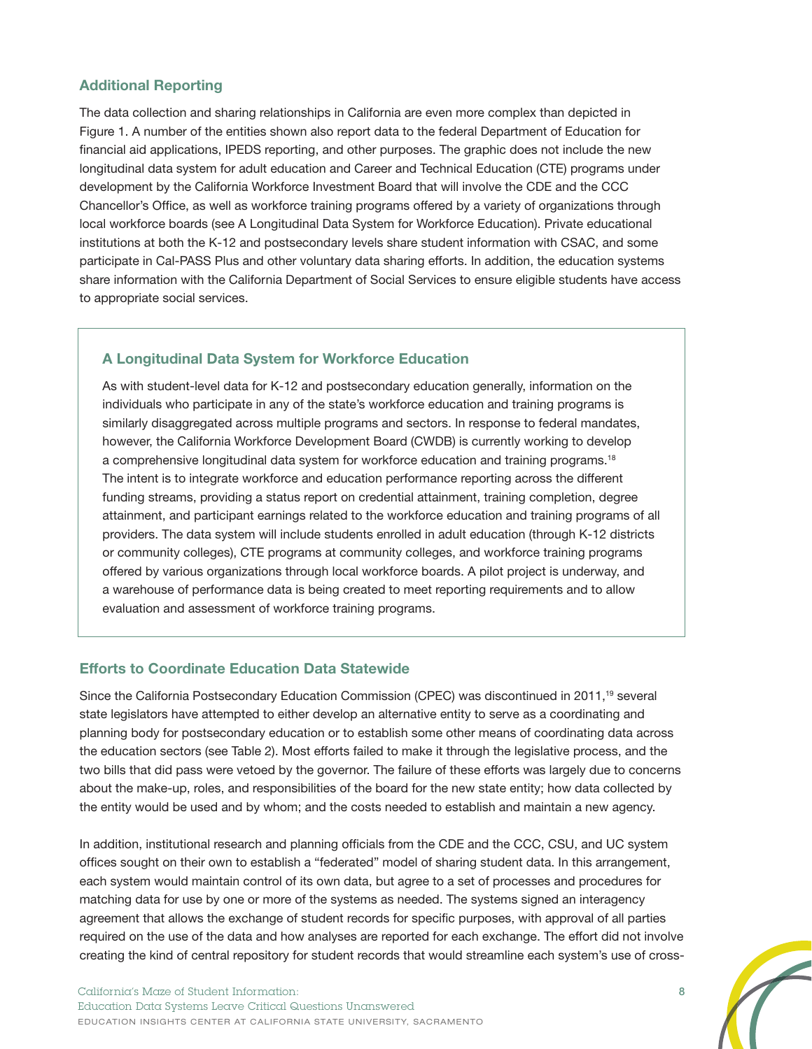## **Additional Reporting**

The data collection and sharing relationships in California are even more complex than depicted in Figure 1. A number of the entities shown also report data to the federal Department of Education for financial aid applications, IPEDS reporting, and other purposes. The graphic does not include the new longitudinal data system for adult education and Career and Technical Education (CTE) programs under development by the California Workforce Investment Board that will involve the CDE and the CCC Chancellor's Office, as well as workforce training programs offered by a variety of organizations through local workforce boards (see A Longitudinal Data System for Workforce Education). Private educational institutions at both the K-12 and postsecondary levels share student information with CSAC, and some participate in Cal-PASS Plus and other voluntary data sharing efforts. In addition, the education systems share information with the California Department of Social Services to ensure eligible students have access to appropriate social services.

#### **A Longitudinal Data System for Workforce Education**

As with student-level data for K-12 and postsecondary education generally, information on the individuals who participate in any of the state's workforce education and training programs is similarly disaggregated across multiple programs and sectors. In response to federal mandates, however, the California Workforce Development Board (CWDB) is currently working to develop a comprehensive longitudinal data system for workforce education and training programs[.18](#page-16-1) The intent is to integrate workforce and education performance reporting across the different funding streams, providing a status report on credential attainment, training completion, degree attainment, and participant earnings related to the workforce education and training programs of all providers. The data system will include students enrolled in adult education (through K-12 districts or community colleges), CTE programs at community colleges, and workforce training programs offered by various organizations through local workforce boards. A pilot project is underway, and a warehouse of performance data is being created to meet reporting requirements and to allow evaluation and assessment of workforce training programs.

#### **Efforts to Coordinate Education Data Statewide**

Since the California Postsecondary Education Commission (CPEC) was discontinued in 2011,[19](#page-16-0) several state legislators have attempted to either develop an alternative entity to serve as a coordinating and planning body for postsecondary education or to establish some other means of coordinating data across the education sectors (see Table 2). Most efforts failed to make it through the legislative process, and the two bills that did pass were vetoed by the governor. The failure of these efforts was largely due to concerns about the make-up, roles, and responsibilities of the board for the new state entity; how data collected by the entity would be used and by whom; and the costs needed to establish and maintain a new agency.

In addition, institutional research and planning officials from the CDE and the CCC, CSU, and UC system offices sought on their own to establish a "federated" model of sharing student data. In this arrangement, each system would maintain control of its own data, but agree to a set of processes and procedures for matching data for use by one or more of the systems as needed. The systems signed an interagency agreement that allows the exchange of student records for specific purposes, with approval of all parties required on the use of the data and how analyses are reported for each exchange. The effort did not involve creating the kind of central repository for student records that would streamline each system's use of cross-

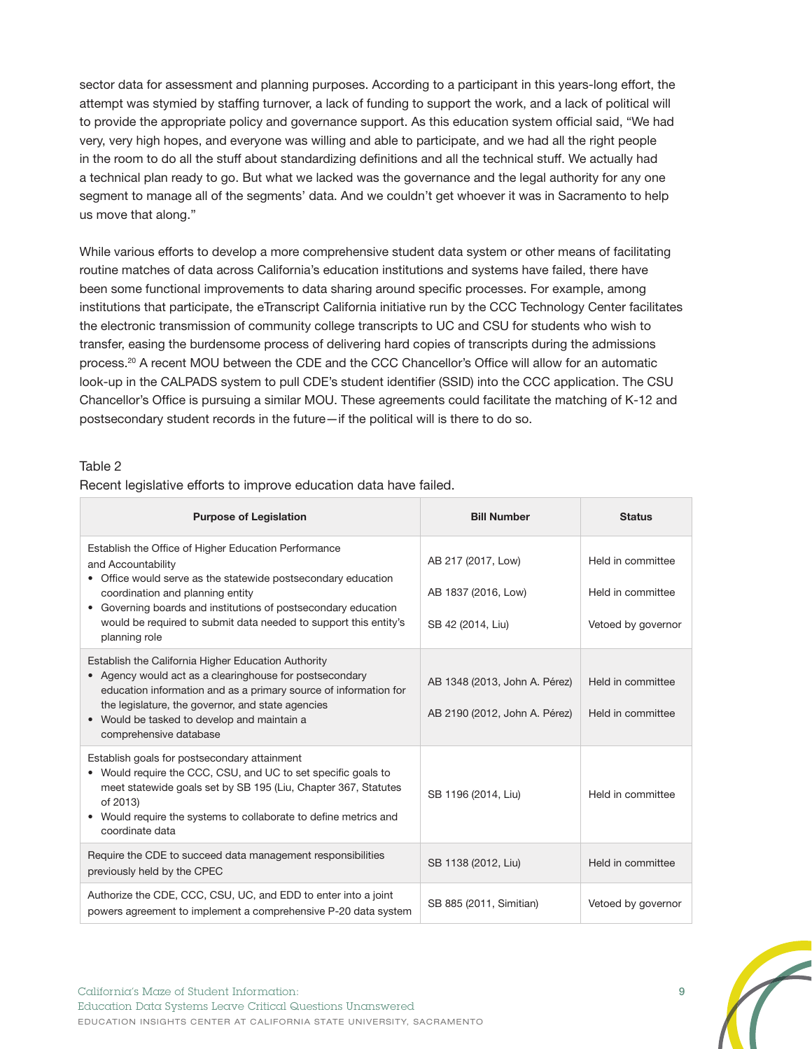sector data for assessment and planning purposes. According to a participant in this years-long effort, the attempt was stymied by staffing turnover, a lack of funding to support the work, and a lack of political will to provide the appropriate policy and governance support. As this education system official said, "We had very, very high hopes, and everyone was willing and able to participate, and we had all the right people in the room to do all the stuff about standardizing definitions and all the technical stuff. We actually had a technical plan ready to go. But what we lacked was the governance and the legal authority for any one segment to manage all of the segments' data. And we couldn't get whoever it was in Sacramento to help us move that along."

While various efforts to develop a more comprehensive student data system or other means of facilitating routine matches of data across California's education institutions and systems have failed, there have been some functional improvements to data sharing around specific processes. For example, among institutions that participate, the eTranscript California initiative run by the CCC Technology Center facilitates the electronic transmission of community college transcripts to UC and CSU for students who wish to transfer, easing the burdensome process of delivering hard copies of transcripts during the admissions process[.20](#page-16-2) A recent MOU between the CDE and the CCC Chancellor's Office will allow for an automatic look-up in the CALPADS system to pull CDE's student identifier (SSID) into the CCC application. The CSU Chancellor's Office is pursuing a similar MOU. These agreements could facilitate the matching of K-12 and postsecondary student records in the future—if the political will is there to do so.

#### Table 2

Recent legislative efforts to improve education data have failed.

| <b>Purpose of Legislation</b>                                                                                                                                                                                                                                                                                                          | <b>Bill Number</b>                                             | <b>Status</b>                                                |
|----------------------------------------------------------------------------------------------------------------------------------------------------------------------------------------------------------------------------------------------------------------------------------------------------------------------------------------|----------------------------------------------------------------|--------------------------------------------------------------|
| Establish the Office of Higher Education Performance<br>and Accountability<br>• Office would serve as the statewide postsecondary education<br>coordination and planning entity<br>• Governing boards and institutions of postsecondary education<br>would be required to submit data needed to support this entity's<br>planning role | AB 217 (2017, Low)<br>AB 1837 (2016, Low)<br>SB 42 (2014, Liu) | Held in committee<br>Held in committee<br>Vetoed by governor |
| Establish the California Higher Education Authority<br>• Agency would act as a clearinghouse for postsecondary<br>education information and as a primary source of information for<br>the legislature, the governor, and state agencies<br>• Would be tasked to develop and maintain a<br>comprehensive database                       | AB 1348 (2013, John A. Pérez)<br>AB 2190 (2012, John A. Pérez) | Held in committee<br>Held in committee                       |
| Establish goals for postsecondary attainment<br>• Would require the CCC, CSU, and UC to set specific goals to<br>meet statewide goals set by SB 195 (Liu, Chapter 367, Statutes<br>of 2013)<br>Would require the systems to collaborate to define metrics and<br>coordinate data                                                       | SB 1196 (2014, Liu)                                            | Held in committee                                            |
| Require the CDE to succeed data management responsibilities<br>previously held by the CPEC                                                                                                                                                                                                                                             | SB 1138 (2012, Liu)                                            | Held in committee                                            |
| Authorize the CDE, CCC, CSU, UC, and EDD to enter into a joint<br>powers agreement to implement a comprehensive P-20 data system                                                                                                                                                                                                       | SB 885 (2011, Simitian)                                        | Vetoed by governor                                           |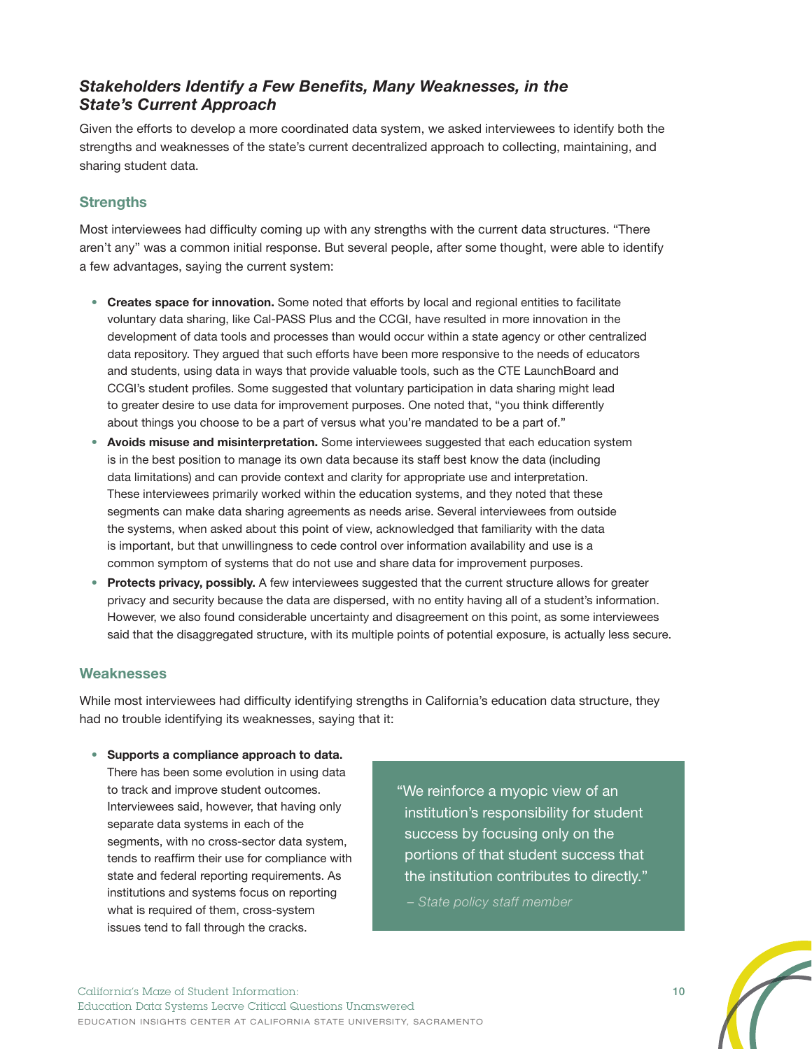# *Stakeholders Identify a Few Benefits, Many Weaknesses, in the State's Current Approach*

Given the efforts to develop a more coordinated data system, we asked interviewees to identify both the strengths and weaknesses of the state's current decentralized approach to collecting, maintaining, and sharing student data.

# **Strengths**

Most interviewees had difficulty coming up with any strengths with the current data structures. "There aren't any" was a common initial response. But several people, after some thought, were able to identify a few advantages, saying the current system:

- **• Creates space for innovation.** Some noted that efforts by local and regional entities to facilitate voluntary data sharing, like Cal-PASS Plus and the CCGI, have resulted in more innovation in the development of data tools and processes than would occur within a state agency or other centralized data repository. They argued that such efforts have been more responsive to the needs of educators and students, using data in ways that provide valuable tools, such as the CTE LaunchBoard and CCGI's student profiles. Some suggested that voluntary participation in data sharing might lead to greater desire to use data for improvement purposes. One noted that, "you think differently about things you choose to be a part of versus what you're mandated to be a part of."
- **• Avoids misuse and misinterpretation.** Some interviewees suggested that each education system is in the best position to manage its own data because its staff best know the data (including data limitations) and can provide context and clarity for appropriate use and interpretation. These interviewees primarily worked within the education systems, and they noted that these segments can make data sharing agreements as needs arise. Several interviewees from outside the systems, when asked about this point of view, acknowledged that familiarity with the data is important, but that unwillingness to cede control over information availability and use is a common symptom of systems that do not use and share data for improvement purposes.
- **• Protects privacy, possibly.** A few interviewees suggested that the current structure allows for greater privacy and security because the data are dispersed, with no entity having all of a student's information. However, we also found considerable uncertainty and disagreement on this point, as some interviewees said that the disaggregated structure, with its multiple points of potential exposure, is actually less secure.

## **Weaknesses**

While most interviewees had difficulty identifying strengths in California's education data structure, they had no trouble identifying its weaknesses, saying that it:

- **• Supports a compliance approach to data.**  There has been some evolution in using data to track and improve student outcomes. Interviewees said, however, that having only separate data systems in each of the segments, with no cross-sector data system, tends to reaffirm their use for compliance with state and federal reporting requirements. As institutions and systems focus on reporting what is required of them, cross-system issues tend to fall through the cracks.
- "We reinforce a myopic view of an institution's responsibility for student success by focusing only on the portions of that student success that the institution contributes to directly."
	- *State policy staff member*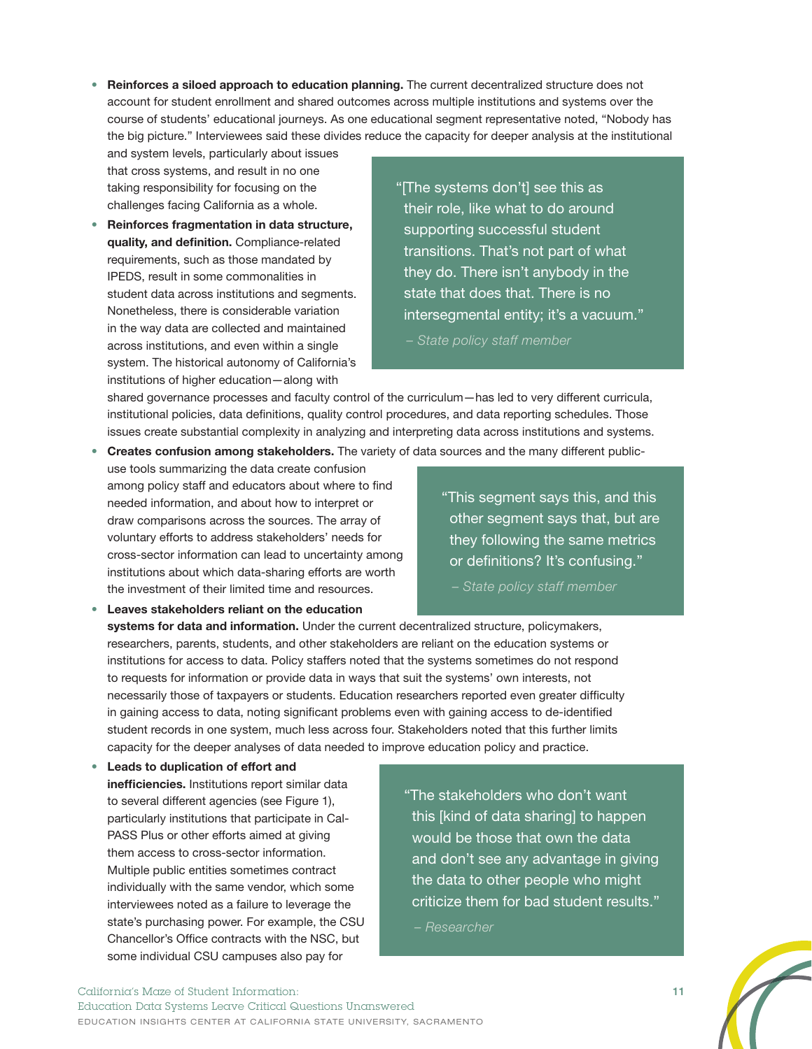**• Reinforces a siloed approach to education planning.** The current decentralized structure does not account for student enrollment and shared outcomes across multiple institutions and systems over the course of students' educational journeys. As one educational segment representative noted, "Nobody has the big picture." Interviewees said these divides reduce the capacity for deeper analysis at the institutional

and system levels, particularly about issues that cross systems, and result in no one taking responsibility for focusing on the challenges facing California as a whole.

**• Reinforces fragmentation in data structure, quality, and definition.** Compliance-related requirements, such as those mandated by IPEDS, result in some commonalities in student data across institutions and segments. Nonetheless, there is considerable variation in the way data are collected and maintained across institutions, and even within a single system. The historical autonomy of California's institutions of higher education—along with

"[The systems don't] see this as their role, like what to do around supporting successful student transitions. That's not part of what they do. There isn't anybody in the state that does that. There is no intersegmental entity; it's a vacuum."

*– State policy staff member*

shared governance processes and faculty control of the curriculum—has led to very different curricula, institutional policies, data definitions, quality control procedures, and data reporting schedules. Those issues create substantial complexity in analyzing and interpreting data across institutions and systems.

**• Creates confusion among stakeholders.** The variety of data sources and the many different publicuse tools summarizing the data create confusion among policy staff and educators about where to find needed information, and about how to interpret or draw comparisons across the sources. The array of voluntary efforts to address stakeholders' needs for cross-sector information can lead to uncertainty among institutions about which data-sharing efforts are worth the investment of their limited time and resources.

"This segment says this, and this other segment says that, but are they following the same metrics or definitions? It's confusing."

*– State policy staff member*

**• Leaves stakeholders reliant on the education systems for data and information.** Under the current decentralized structure, policymakers, researchers, parents, students, and other stakeholders are reliant on the education systems or institutions for access to data. Policy staffers noted that the systems sometimes do not respond to requests for information or provide data in ways that suit the systems' own interests, not necessarily those of taxpayers or students. Education researchers reported even greater difficulty in gaining access to data, noting significant problems even with gaining access to de-identified student records in one system, much less across four. Stakeholders noted that this further limits capacity for the deeper analyses of data needed to improve education policy and practice.

**• Leads to duplication of effort and inefficiencies.** Institutions report similar data to several different agencies (see Figure 1), particularly institutions that participate in Cal-PASS Plus or other efforts aimed at giving them access to cross-sector information. Multiple public entities sometimes contract individually with the same vendor, which some interviewees noted as a failure to leverage the state's purchasing power. For example, the CSU Chancellor's Office contracts with the NSC, but some individual CSU campuses also pay for

"The stakeholders who don't want this [kind of data sharing] to happen would be those that own the data and don't see any advantage in giving the data to other people who might criticize them for bad student results."

*– Researcher*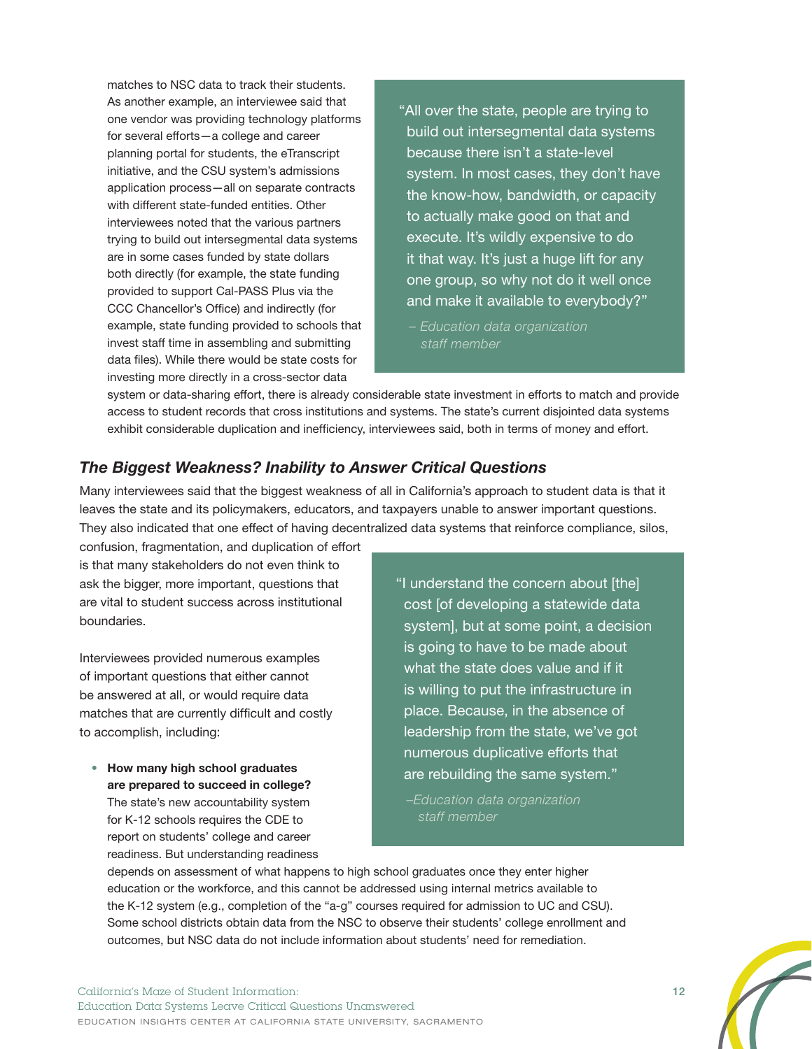matches to NSC data to track their students. As another example, an interviewee said that one vendor was providing technology platforms for several efforts—a college and career planning portal for students, the eTranscript initiative, and the CSU system's admissions application process—all on separate contracts with different state-funded entities. Other interviewees noted that the various partners trying to build out intersegmental data systems are in some cases funded by state dollars both directly (for example, the state funding provided to support Cal-PASS Plus via the CCC Chancellor's Office) and indirectly (for example, state funding provided to schools that invest staff time in assembling and submitting data files). While there would be state costs for investing more directly in a cross-sector data

- "All over the state, people are trying to build out intersegmental data systems because there isn't a state-level system. In most cases, they don't have the know-how, bandwidth, or capacity to actually make good on that and execute. It's wildly expensive to do it that way. It's just a huge lift for any one group, so why not do it well once and make it available to everybody?"
- *Education data organization staff member*

system or data-sharing effort, there is already considerable state investment in efforts to match and provide access to student records that cross institutions and systems. The state's current disjointed data systems exhibit considerable duplication and inefficiency, interviewees said, both in terms of money and effort.

## *The Biggest Weakness? Inability to Answer Critical Questions*

Many interviewees said that the biggest weakness of all in California's approach to student data is that it leaves the state and its policymakers, educators, and taxpayers unable to answer important questions. They also indicated that one effect of having decentralized data systems that reinforce compliance, silos,

confusion, fragmentation, and duplication of effort is that many stakeholders do not even think to ask the bigger, more important, questions that are vital to student success across institutional boundaries.

Interviewees provided numerous examples of important questions that either cannot be answered at all, or would require data matches that are currently difficult and costly to accomplish, including:

**• How many high school graduates are prepared to succeed in college?** The state's new accountability system for K-12 schools requires the CDE to report on students' college and career readiness. But understanding readiness "I understand the concern about [the] cost [of developing a statewide data system], but at some point, a decision is going to have to be made about what the state does value and if it is willing to put the infrastructure in place. Because, in the absence of leadership from the state, we've got numerous duplicative efforts that are rebuilding the same system."

*–Education data organization staff member*

depends on assessment of what happens to high school graduates once they enter higher education or the workforce, and this cannot be addressed using internal metrics available to the K-12 system (e.g., completion of the "a-g" courses required for admission to UC and CSU). Some school districts obtain data from the NSC to observe their students' college enrollment and outcomes, but NSC data do not include information about students' need for remediation.

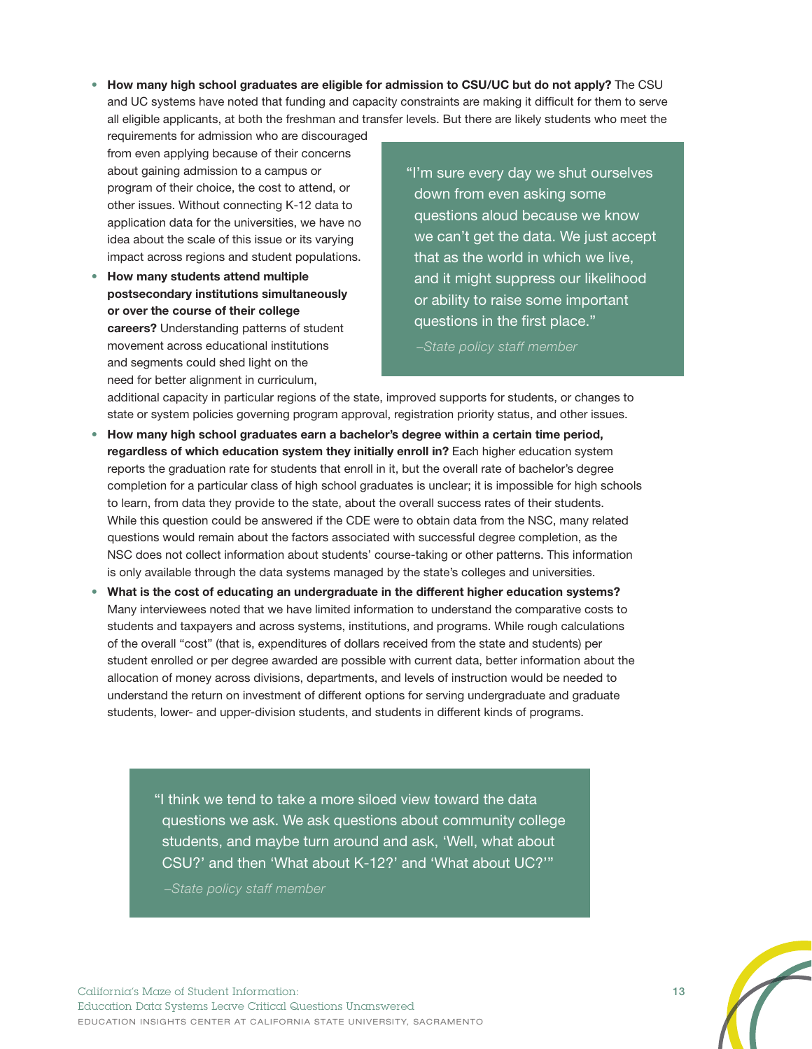**• How many high school graduates are eligible for admission to CSU/UC but do not apply?** The CSU and UC systems have noted that funding and capacity constraints are making it difficult for them to serve all eligible applicants, at both the freshman and transfer levels. But there are likely students who meet the

requirements for admission who are discouraged from even applying because of their concerns about gaining admission to a campus or program of their choice, the cost to attend, or other issues. Without connecting K-12 data to application data for the universities, we have no idea about the scale of this issue or its varying impact across regions and student populations.

**• How many students attend multiple postsecondary institutions simultaneously or over the course of their college careers?** Understanding patterns of student movement across educational institutions and segments could shed light on the need for better alignment in curriculum,

"I'm sure every day we shut ourselves down from even asking some questions aloud because we know we can't get the data. We just accept that as the world in which we live, and it might suppress our likelihood or ability to raise some important questions in the first place."

*–State policy staff member*

additional capacity in particular regions of the state, improved supports for students, or changes to state or system policies governing program approval, registration priority status, and other issues.

- **• How many high school graduates earn a bachelor's degree within a certain time period, regardless of which education system they initially enroll in?** Each higher education system reports the graduation rate for students that enroll in it, but the overall rate of bachelor's degree completion for a particular class of high school graduates is unclear; it is impossible for high schools to learn, from data they provide to the state, about the overall success rates of their students. While this question could be answered if the CDE were to obtain data from the NSC, many related questions would remain about the factors associated with successful degree completion, as the NSC does not collect information about students' course-taking or other patterns. This information is only available through the data systems managed by the state's colleges and universities.
- **• What is the cost of educating an undergraduate in the different higher education systems?** Many interviewees noted that we have limited information to understand the comparative costs to students and taxpayers and across systems, institutions, and programs. While rough calculations of the overall "cost" (that is, expenditures of dollars received from the state and students) per student enrolled or per degree awarded are possible with current data, better information about the allocation of money across divisions, departments, and levels of instruction would be needed to understand the return on investment of different options for serving undergraduate and graduate students, lower- and upper-division students, and students in different kinds of programs.

"I think we tend to take a more siloed view toward the data questions we ask. We ask questions about community college students, and maybe turn around and ask, 'Well, what about CSU?' and then 'What about K-12?' and 'What about UC?'" *–State policy staff member*

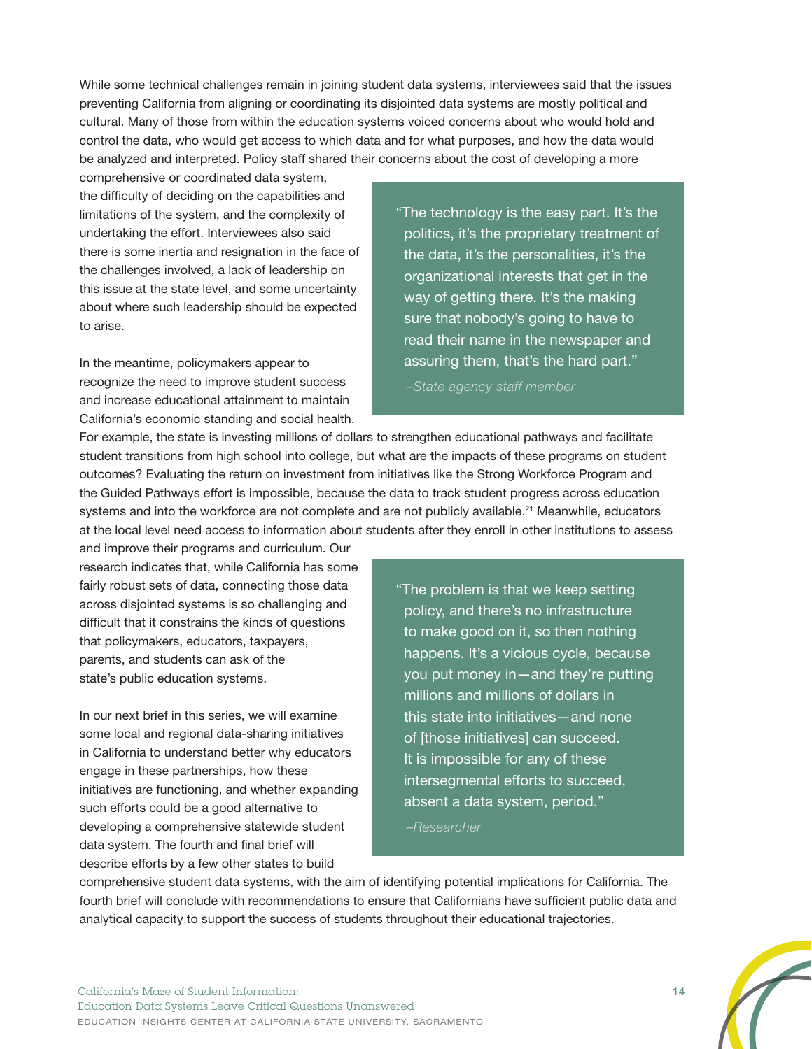While some technical challenges remain in joining student data systems, interviewees said that the issues preventing California from aligning or coordinating its disjointed data systems are mostly political and cultural. Many of those from within the education systems voiced concerns about who would hold and control the data, who would get access to which data and for what purposes, and how the data would be analyzed and interpreted. Policy staff shared their concerns about the cost of developing a more

comprehensive or coordinated data system, the difficulty of deciding on the capabilities and limitations of the system, and the complexity of undertaking the effort. Interviewees also said there is some inertia and resignation in the face of the challenges involved, a lack of leadership on this issue at the state level, and some uncertainty about where such leadership should be expected to arise.

In the meantime, policymakers appear to recognize the need to improve student success and increase educational attainment to maintain California's economic standing and social health. "The technology is the easy part. It's the politics, it's the proprietary treatment of the data, it's the personalities, it's the organizational interests that get in the way of getting there. It's the making sure that nobody's going to have to read their name in the newspaper and assuring them, that's the hard part."

*–State agency staff member*

For example, the state is investing millions of dollars to strengthen educational pathways and facilitate student transitions from high school into college, but what are the impacts of these programs on student outcomes? Evaluating the return on investment from initiatives like the Strong Workforce Program and the Guided Pathways effort is impossible, because the data to track student progress across education systems and into the workforce are not complete and are not publicly available.<sup>21</sup> Meanwhile, educators at the local level need access to information about students after they enroll in other institutions to assess

and improve their programs and curriculum. Our research indicates that, while California has some fairly robust sets of data, connecting those data across disjointed systems is so challenging and difficult that it constrains the kinds of questions that policymakers, educators, taxpayers, parents, and students can ask of the state's public education systems.

In our next brief in this series, we will examine some local and regional data-sharing initiatives in California to understand better why educators engage in these partnerships, how these initiatives are functioning, and whether expanding such efforts could be a good alternative to developing a comprehensive statewide student data system. The fourth and final brief will describe efforts by a few other states to build

"The problem is that we keep setting policy, and there's no infrastructure to make good on it, so then nothing happens. It's a vicious cycle, because you put money in—and they're putting millions and millions of dollars in this state into initiatives—and none of [those initiatives] can succeed. It is impossible for any of these intersegmental efforts to succeed, absent a data system, period."

*–Researcher*

comprehensive student data systems, with the aim of identifying potential implications for California. The fourth brief will conclude with recommendations to ensure that Californians have sufficient public data and analytical capacity to support the success of students throughout their educational trajectories.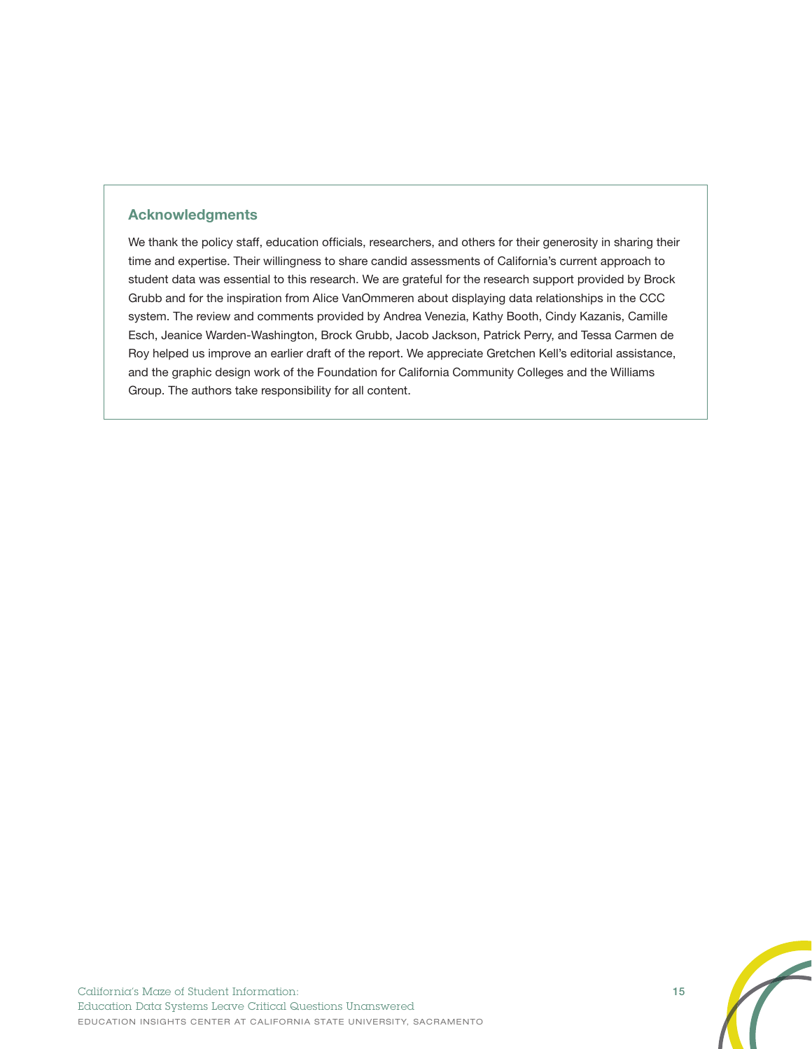#### **Acknowledgments**

We thank the policy staff, education officials, researchers, and others for their generosity in sharing their time and expertise. Their willingness to share candid assessments of California's current approach to student data was essential to this research. We are grateful for the research support provided by Brock Grubb and for the inspiration from Alice VanOmmeren about displaying data relationships in the CCC system. The review and comments provided by Andrea Venezia, Kathy Booth, Cindy Kazanis, Camille Esch, Jeanice Warden-Washington, Brock Grubb, Jacob Jackson, Patrick Perry, and Tessa Carmen de Roy helped us improve an earlier draft of the report. We appreciate Gretchen Kell's editorial assistance, and the graphic design work of the Foundation for California Community Colleges and the Williams Group. The authors take responsibility for all content.

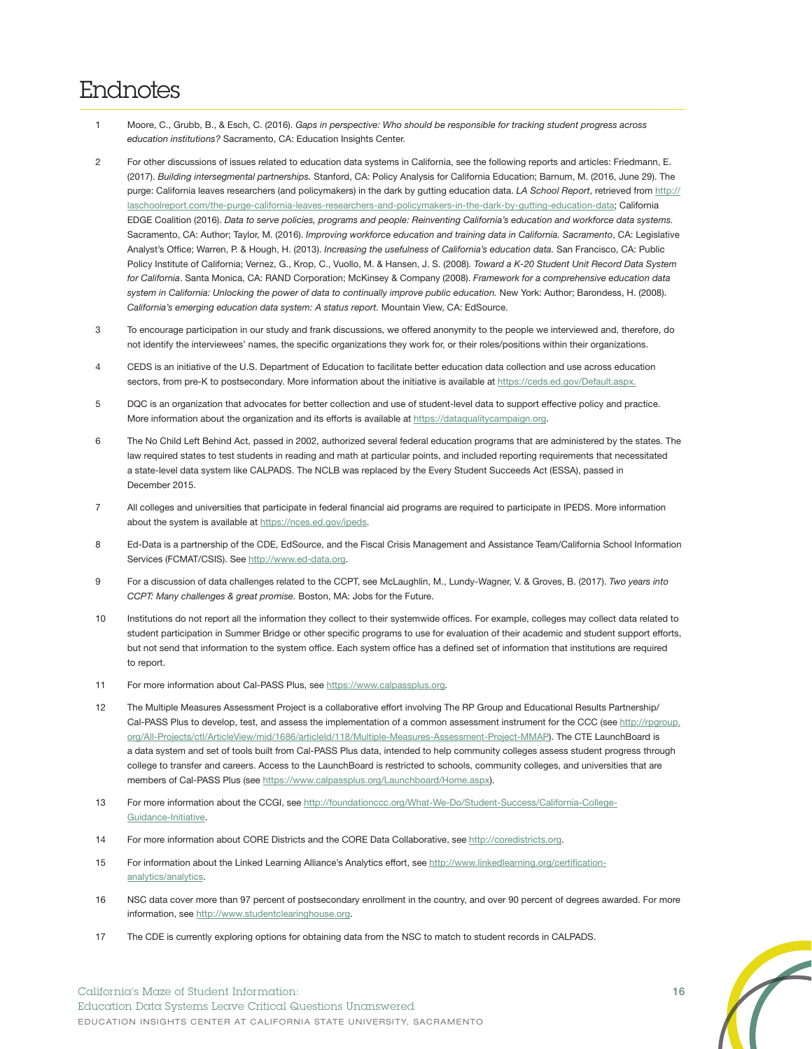# **Endnotes**

- <span id="page-15-0"></span>1 Moore, C., Grubb, B., & Esch, C. (2016). *Gaps in perspective: Who should be responsible for tracking student progress across education institutions?* Sacramento, CA: Education Insights Center.
- <span id="page-15-1"></span>2 For other discussions of issues related to education data systems in California, see the following reports and articles: Friedmann, E. (2017). *Building intersegmental partnerships.* Stanford, CA: Policy Analysis for California Education; Barnum, M. (2016, June 29). The purge: California leaves researchers (and policymakers) in the dark by gutting education data. *LA School Report*, retrieved from [http://](http://laschoolreport.com/the-purge-california-leaves-researchers-and-policymakers-in-the-dark-by-gutting-education-data/) [laschoolreport.com/the-purge-california-leaves-researchers-and-policymakers-in-the-dark-by-gutting-education-data](http://laschoolreport.com/the-purge-california-leaves-researchers-and-policymakers-in-the-dark-by-gutting-education-data/); California EDGE Coalition (2016). *Data to serve policies, programs and people: Reinventing California's education and workforce data systems.* Sacramento, CA: Author; Taylor, M. (2016). *Improving workforce education and training data in California. Sacramento*, CA: Legislative Analyst's Office; Warren, P. & Hough, H. (2013). *Increasing the usefulness of California's education data.* San Francisco, CA: Public Policy Institute of California; Vernez, G., Krop, C., Vuollo, M. & Hansen, J. S. (2008). *Toward a K-20 Student Unit Record Data System for California*. Santa Monica, CA: RAND Corporation; McKinsey & Company (2008). *Framework for a comprehensive education data system in California: Unlocking the power of data to continually improve public education.* New York: Author; Barondess, H. (2008). *California's emerging education data system: A status report.* Mountain View, CA: EdSource.
- <span id="page-15-2"></span>3 To encourage participation in our study and frank discussions, we offered anonymity to the people we interviewed and, therefore, do not identify the interviewees' names, the specific organizations they work for, or their roles/positions within their organizations.
- <span id="page-15-3"></span>4 CEDS is an initiative of the U.S. Department of Education to facilitate better education data collection and use across education sectors, from pre-K to postsecondary. More information about the initiative is available at [https://ceds.ed.gov/Default.aspx.](https://ceds.ed.gov/Default.aspx)
- <span id="page-15-4"></span>5 DQC is an organization that advocates for better collection and use of student-level data to support effective policy and practice. More information about the organization and its efforts is available at<https://dataqualitycampaign.org>.
- <span id="page-15-5"></span>6 The No Child Left Behind Act, passed in 2002, authorized several federal education programs that are administered by the states. The law required states to test students in reading and math at particular points, and included reporting requirements that necessitated a state-level data system like CALPADS. The NCLB was replaced by the Every Student Succeeds Act (ESSA), passed in December 2015.
- <span id="page-15-6"></span>7 All colleges and universities that participate in federal financial aid programs are required to participate in IPEDS. More information about the system is available at [https://nces.ed.gov/ipeds.](https://nces.ed.gov/ipeds)
- <span id="page-15-7"></span>8 Ed-Data is a partnership of the CDE, EdSource, and the Fiscal Crisis Management and Assistance Team/California School Information Services (FCMAT/CSIS). See [http://www.ed-data.org.](http://www.ed-data.org)
- <span id="page-15-8"></span>9 For a discussion of data challenges related to the CCPT, see McLaughlin, M., Lundy-Wagner, V. & Groves, B. (2017). *Two years into CCPT: Many challenges & great promise.* Boston, MA: Jobs for the Future.
- <span id="page-15-9"></span>10 Institutions do not report all the information they collect to their systemwide offices. For example, colleges may collect data related to student participation in Summer Bridge or other specific programs to use for evaluation of their academic and student support efforts, but not send that information to the system office. Each system office has a defined set of information that institutions are required to report.
- <span id="page-15-10"></span>11 For more information about Cal-PASS Plus, see [https://www.calpassplus.org.](https://www.calpassplus.org)
- <span id="page-15-11"></span>12 The Multiple Measures Assessment Project is a collaborative effort involving The RP Group and Educational Results Partnership/ Cal-PASS Plus to develop, test, and assess the implementation of a common assessment instrument for the CCC (see [http://rpgroup.](http://rpgroup.org/All-Projects/ctl/ArticleView/mid/1686/articleId/118/Multiple-Measures-Assessment-Project-MMAP) [org/All-Projects/ctl/ArticleView/mid/1686/articleId/118/Multiple-Measures-Assessment-Project-MMAP](http://rpgroup.org/All-Projects/ctl/ArticleView/mid/1686/articleId/118/Multiple-Measures-Assessment-Project-MMAP)). The CTE LaunchBoard is a data system and set of tools built from Cal-PASS Plus data, intended to help community colleges assess student progress through college to transfer and careers. Access to the LaunchBoard is restricted to schools, community colleges, and universities that are members of Cal-PASS Plus (see<https://www.calpassplus.org/Launchboard/Home.aspx>).
- <span id="page-15-12"></span>13 For more information about the CCGI, see [http://foundationccc.org/What-We-Do/Student-Success/California-College-](http://foundationccc.org/What-We-Do/Student-Success/California-College-Guidance-Initiative)[Guidance-Initiative.](http://foundationccc.org/What-We-Do/Student-Success/California-College-Guidance-Initiative)
- <span id="page-15-13"></span>14 For more information about CORE Districts and the CORE Data Collaborative, see [http://coredistricts.org.](http://coredistricts.org)
- <span id="page-15-14"></span>15 For information about the Linked Learning Alliance's Analytics effort, see [http://www.linkedlearning.org/certification](http://www.linkedlearning.org/certification-analytics/analytics)[analytics/analytics](http://www.linkedlearning.org/certification-analytics/analytics).
- <span id="page-15-15"></span>16 NSC data cover more than 97 percent of postsecondary enrollment in the country, and over 90 percent of degrees awarded. For more information, see<http://www.studentclearinghouse.org>.
- <span id="page-15-16"></span>17 The CDE is currently exploring options for obtaining data from the NSC to match to student records in CALPADS.

California's Maze of Student Information: 16 Education Data Systems Leave Critical Questions Unanswered EDUCATION INSIGHTS CENTER AT CALIFORNIA STATE UNIVERSITY, SACRAMENTO